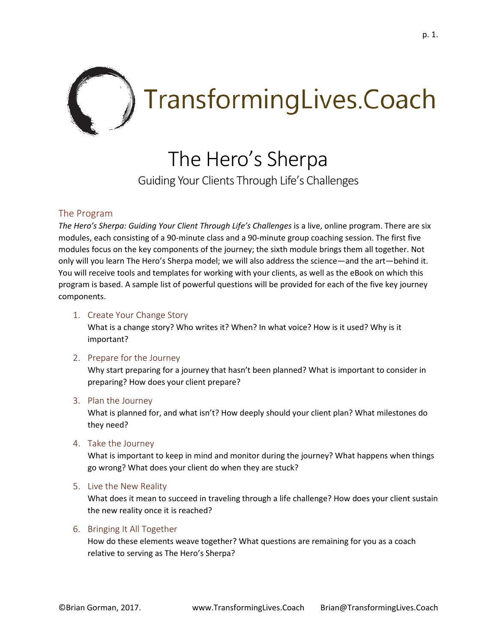

# The Hero's Sherpa

Guiding Your Clients Through Life's Challenges

## The Program

*The Hero's Sherpa: Guiding Your Client Through Life's Challenges* is a live, online program. There are six modules, each consisting of a 90-minute class and a 90-minute group coaching session. The first five modules focus on the key components of the journey; the sixth module brings them all together. Not only will you learn The Hero's Sherpa model; we will also address the science—and the art—behind it. You will receive tools and templates for working with your clients, as well as the eBook on which this program is based. A sample list of powerful questions will be provided for each of the five key journey components.

1. Create Your Change Story

What is a change story? Who writes it? When? In what voice? How is it used? Why is it important?

## 2. Prepare for the Journey

Why start preparing for a journey that hasn't been planned? What is important to consider in preparing? How does your client prepare?

## 3. Plan the Journey

What is planned for, and what isn't? How deeply should your client plan? What milestones do they need?

4. Take the Journey

What is important to keep in mind and monitor during the journey? What happens when things go wrong? What does your client do when they are stuck?

5. Live the New Reality

What does it mean to succeed in traveling through a life challenge? How does your client sustain the new reality once it is reached?

## 6. Bringing It All Together

How do these elements weave together? What questions are remaining for you as a coach relative to serving as The Hero's Sherpa?